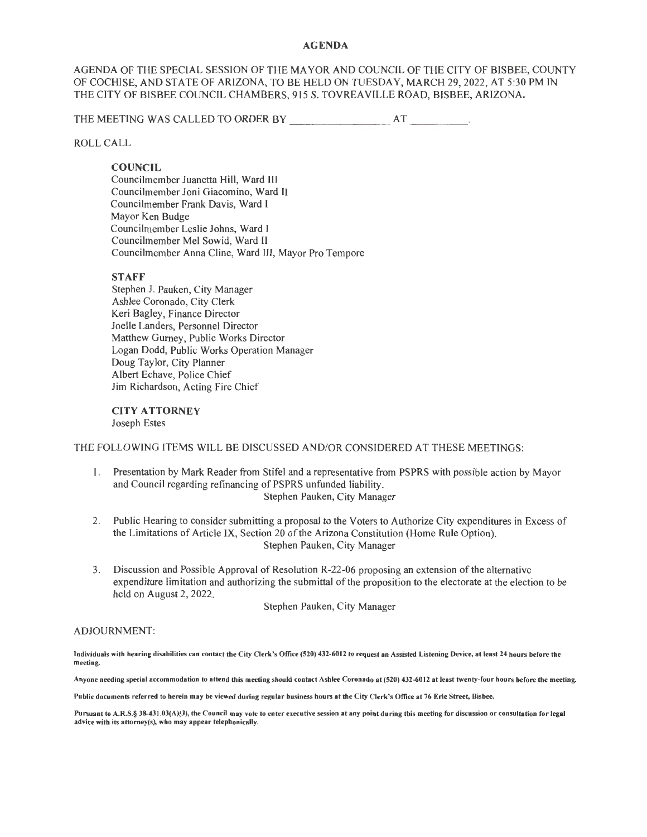#### **AGENDA**

AGENDA OF THE SPECIAL SESSION OF THE MAYOR AND COUNCIL OF THE CITY OF BISBEE, COUNTY OF COCHISE, AND STATE OF ARIZONA, TO BE HELD ON TUESDAY, MARCH 29, 2022, AT 5:30 PM IN THE CITY OF BISBEE COUNCIL CHAMBERS, 915 S. TOVREAVILLE ROAD, BISBEE, ARIZONA.

THE MEETING WAS CALLED TO ORDER BY AT **AT** 

ROLL CALL

### **COUNCIL**

Councilmember Juanetta Hill, Ward III Councilmember Joni Giacomino, Ward II Councilmember Frank Davis, Ward I Mayor Ken Budge Councilmember Leslie Johns, Ward I Councilmember Mel Sowid, Ward II Councilmember Anna Cline, Ward III, Mayor Pro Tempore

#### **STAFF**

Stephen J. Pauken, City Manager Ashlee Coronado, City Clerk Keri Bagley, Finance Director Joelle Landers, Personnel Director Matthew Gurney, Public Works Director Logan Dodd, Public Works Operation Manager Doug Taylor, City Planner Albert Echave, Police Chief Jim Richardson, Acting Fire Chief

#### **CITY ATTORNEY**  Joseph Estes

THE FOLLOWING ITEMS WILL BE DISCUSSED AND/OR CONSfDERED AT THESE MEETINGS:

- I. Presentation by Mark Reader from Stifel and a representative from PSPRS with possible action by Mayor and Council regarding refinancing of PSPRS unfunded liability. Stephen Pauken, City Manager
- 2. Public Hearing to consider submitting a proposal to the Voters to Authorize City expenditures in Excess of the Limitations of Article IX, Section 20 of the Arizona Constitution (Home Rule Option). Stephen Pauken, City Manager
- 3. Discussion and Possible Approval of Resolution R-22-06 proposing an extension of the alternative expenditure limitation and authorizing the submittal of the proposition to the electorate at the election to be held on August 2, 2022.

Stephen Pauken, City Manager

#### ADJOURNMENT:

Individuals with hearing disabilities can contact the City Clerk's Office (520) 432-6012 to request an Assisted Listening Device, at least 24 hours before the meeting.

Anyone needing special accommodation to attend this meeting should contact Ashlee Coronado at (520) 432-6012 at least twenty-four hours before the meeting.

Public documents referred to herein may be viewed during regular business hours at the City Clerk's Office at 76 Erie Street, Bisbee.

Pursuant to A.R.S.§ 38-431.03(A)(3), the Council may vote to enter executive session at any point during this meeting for discussion or consultation for legal advice with its attorney(s), who may appear telephonically.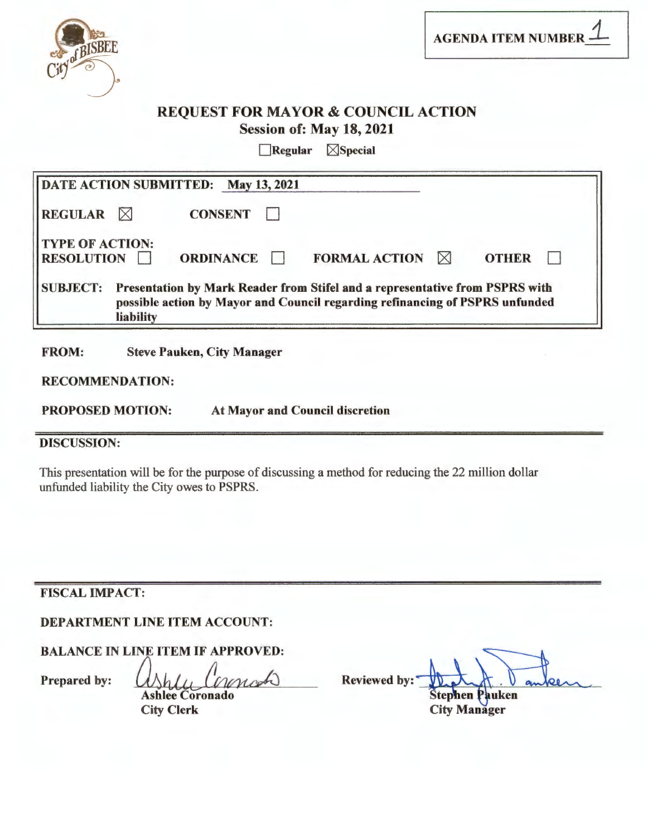

**AGENDA ITEM NUMBER ·** 

# REQUEST FOR MAYOR & COUNCIL ACTION Session of: May 18, 2021

**Regular**  $\boxtimes$  Special

|                                             |           | DATE ACTION SUBMITTED: May 13, 2021 |                                                                                                                                                              |           |              |
|---------------------------------------------|-----------|-------------------------------------|--------------------------------------------------------------------------------------------------------------------------------------------------------------|-----------|--------------|
| $REGULAR \quad \boxtimes$                   |           | <b>CONSENT</b>                      |                                                                                                                                                              |           |              |
| <b>TYPE OF ACTION:</b><br><b>RESOLUTION</b> |           | <b>ORDINANCE</b>                    | <b>FORMAL ACTION</b>                                                                                                                                         | $\bowtie$ | <b>OTHER</b> |
| <b>SUBJECT:</b>                             | liability |                                     | Presentation by Mark Reader from Stifel and a representative from PSPRS with<br>possible action by Mayor and Council regarding refinancing of PSPRS unfunded |           |              |

FROM: Steve Pauken, City Manager

RECOMMENDATION:

PROPOSED MOTION: At Mayor and Council discretion

## DISCUSSION:

This presentation will be for the purpose of discussing a method for reducing the 22 million dollar unfunded liability the City owes to PSPRS.

## FISCAL IMPACT:

DEPARTMENT LINE ITEM ACCOUNT:

BALANCE IN LINE ITEM IF APPROVED:

Prepared by: Ashlu Concord

Ashlee Coronado City Clerk

Reviewed by: Stephen Pauken Latin de la Compte

City Manager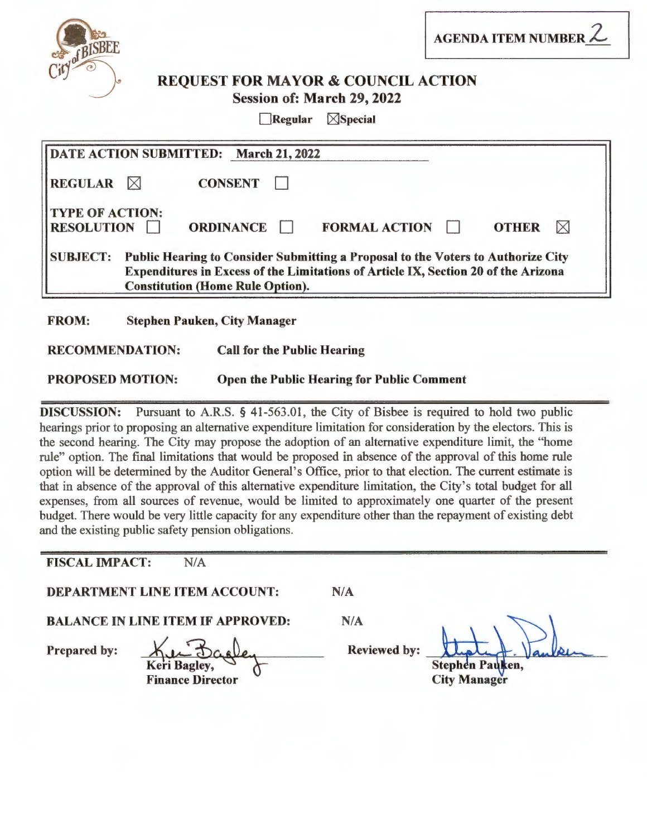

**AGENDA ITEM NUMBER** *L* 

# **REQUEST FOR MAYOR** & **COUNCIL ACTION Session of: March 29, 2022**

**Regular Special** 

|                                             | DATE ACTION SUBMITTED: March 21, 2022                                                                                                                                                                             |
|---------------------------------------------|-------------------------------------------------------------------------------------------------------------------------------------------------------------------------------------------------------------------|
| <b>REGULAR</b>                              | <b>CONSENT</b><br>$\bowtie$                                                                                                                                                                                       |
| <b>TYPE OF ACTION:</b><br><b>RESOLUTION</b> | <b>OTHER</b><br><b>ORDINANCE</b><br><b>FORMAL ACTION</b><br>$\boxtimes$<br>$\mathbf{I}$                                                                                                                           |
| <b>SUBJECT:</b>                             | Public Hearing to Consider Submitting a Proposal to the Voters to Authorize City<br>Expenditures in Excess of the Limitations of Article IX, Section 20 of the Arizona<br><b>Constitution (Home Rule Option).</b> |
| <b>FROM:</b>                                | <b>Stephen Pauken, City Manager</b>                                                                                                                                                                               |

**RECOMMENDATION: Call for the Public Hearing** 

**PROPOSED MOTION: Open the Public Hearing for Public Comment** 

**DISCUSSION:** Pursuant to A.R.S. § 41-563.01, the City of Bisbee is required to hold two public hearings prior to proposing an alternative expenditure limitation for consideration by the electors. This is the second hearing. The City may propose the adoption of an alternative expenditure limit, the "home rule" option. The final limitations that would be proposed in absence of the approval of this home rule option will be determined by the Auditor General's Office, prior to that election. The current estimate is that in absence of the approval of this alternative expenditure limitation, the City's total budget for all expenses, from all sources of revenue, would be limited to approximately one quarter of the present budget. There would be very little capacity for any expenditure other than the repayment of existing debt and the existing public safety pension obligations.

**FISCAL IMPACT:** N/A

**DEPARTMENT LINE ITEM ACCOUNT: N/A** 

**NIA** 

**BALANCE IN LINE ITEM IF APPROVED:** 

**Prepared by:** 

**Keri Bagley, Finance Director** 

Reviewed by: **the Line of Pandem**<br>
Stephen Pauken,<br>
City Manager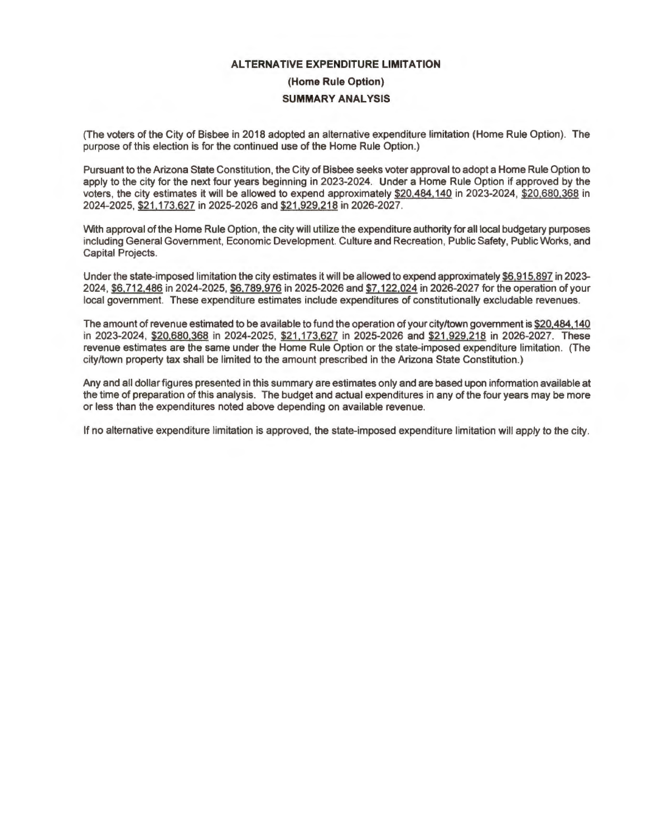## **ALTERNATIVE EXPENDITURE LIMITATION (Home Rule Option) SUMMARY ANALYSIS**

(The voters of the City of Bisbee in 2018 adopted an alternative expenditure limitation (Home Rule Option). The purpose of this election is for the continued use of the Home Rule Option.)

Pursuant to the Arizona State Constitution, the City of Bisbee seeks voter approval to adopt a Home Rule Option to apply to the city for the next four years beginning in 2023-2024. Under a Home Rule Option if approved by the voters, the city estimates it will be allowed to expend approximately \$20,484.140 in 2023-2024, \$20,680.368 in 2024-2025, \$21.173,627 in 2025-2026 and \$21,929.218 in 2026-2027.

With approval of the Home Rule Option, the city will utilize the expenditure authority for all local budgetary purposes including General Government, Economic Development. Culture and Recreation, Public Safety, Public Works, and Capital Projects.

Under the state-imposed limitation the city estimates it will be allowed to expend approximately \$6,915,897 in 2023- 2024. \$6,712,486 in 2024-2025, \$6,789,976 in 2025-2026 and \$7,122,024 in 2026-2027 for the operation of your local government. These expenditure estimates include expenditures of constitutionally excludable revenues.

The amount of revenue estimated to be available to fund the operation of your city/town government is \$20,484, 140 in 2023-2024, \$20,680,368 in 2024-2025, \$21,173,627 in 2025-2026 and \$21,929,218 in 2026-2027. These revenue estimates are the same under the Home Rule Option or the state-imposed expenditure limitation. (The city/town property tax shall be limited to the amount prescribed in the Arizona State Constitution.)

Any and all dollar figures presented in this summary are estimates only and are based upon information available at the time of preparation of this analysis. The budget and actual expenditures in any of the four years may be more or less than the expenditures noted above depending on available revenue.

If no alternative expenditure limitation is approved, the state-imposed expenditure limitation will apply to the city.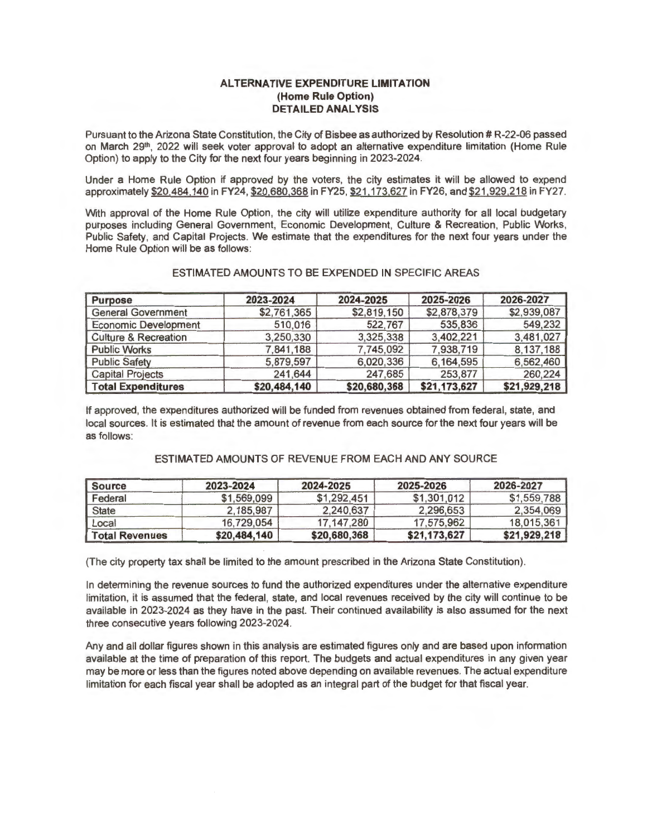## **ALTERNATIVE EXPENDITURE LIMITATION (Home Rule Option) DETAILED ANALYSIS**

Pursuant to the Arizona State Constitution, the City of Bisbee as authorized by Resolution # R-22-06 passed on March 29<sup>th</sup>, 2022 will seek voter approval to adopt an alternative expenditure limitation (Home Rule Option) to apply to the City for the next four years beginning in 2023-2024.

Under a Home Rule Option if approved by the voters, the city estimates it will be allowed to expend approximately \$20,484,140 in FY24, \$20,680,368 in FY25, \$21,173,627 in FY26, and \$21,929,218 in FY27.

With approval of the Home Rule Option, the city will utilize expenditure authority for all local budgetary purposes including General Government, Economic Development, Culture & Recreation, Public Works, Public Safety, and Capital Projects. We estimate that the expenditures for the next four years under the Home Rule Option will be as follows:

### ESTIMATED AMOUNTS TO BE EXPENDED IN SPECIFIC AREAS

| <b>Purpose</b>                  | 2023-2024    | 2024-2025    | 2025-2026    | 2026-2027    |  |
|---------------------------------|--------------|--------------|--------------|--------------|--|
| <b>General Government</b>       | \$2,761,365  | \$2,819,150  | \$2,878,379  | \$2,939,087  |  |
| <b>Economic Development</b>     | 510,016      | 522,767      | 535,836      | 549,232      |  |
| <b>Culture &amp; Recreation</b> | 3,250,330    | 3,325,338    | 3,402,221    | 3,481,027    |  |
| <b>Public Works</b>             | 7,841,188    | 7,745,092    | 7,938,719    | 8,137,188    |  |
| <b>Public Safety</b>            | 5,879,597    | 6,020,336    | 6,164,595    | 6,562,460    |  |
| <b>Capital Projects</b>         | 241,644      | 247,685      | 253,877      | 260,224      |  |
| <b>Total Expenditures</b>       | \$20,484,140 | \$20,680,368 | \$21,173,627 | \$21,929,218 |  |

If approved, the expenditures authorized will be funded from revenues obtained from federal, state, and local sources. It is estimated that the amount of revenue from each source for the next four years will be as follows:

### ESTIMATED AMOUNTS OF REVENUE FROM EACH AND ANY SOURCE

| <b>Source</b>  | 2023-2024    | 2024-2025    | 2025-2026    | 2026-2027    |
|----------------|--------------|--------------|--------------|--------------|
| Federal        | \$1,569,099  | \$1,292,451  | \$1,301,012  | \$1,559,788  |
| <b>State</b>   | 2.185.987    | 2.240.637    | 2.296.653    | 2.354.069    |
| Local          | 16.729.054   | 17.147.280   | 17.575.962   | 18.015.361   |
| Total Revenues | \$20,484,140 | \$20,680,368 | \$21,173,627 | \$21,929,218 |

(The city property tax shall be limited to the amount prescribed in the Arizona State Constitution).

In determining the revenue sources to fund the authorized expenditures under the alternative expenditure limitation, it is assumed that the federal, state, and local revenues received by the city will continue to be available in 2023-2024 as they have in the past. Their continued availability is also assumed for the next three consecutive years following 2023-2024.

Any and all dollar figures shown in this analysis are estimated figures only and are based upon information available at the time of preparation of this report. The budgets and actual expenditures in any given year may be more or less than the figures noted above depending on available revenues. The actual expenditure limitation for each fiscal year shall be adopted as an integral part of the budget for that fiscal year.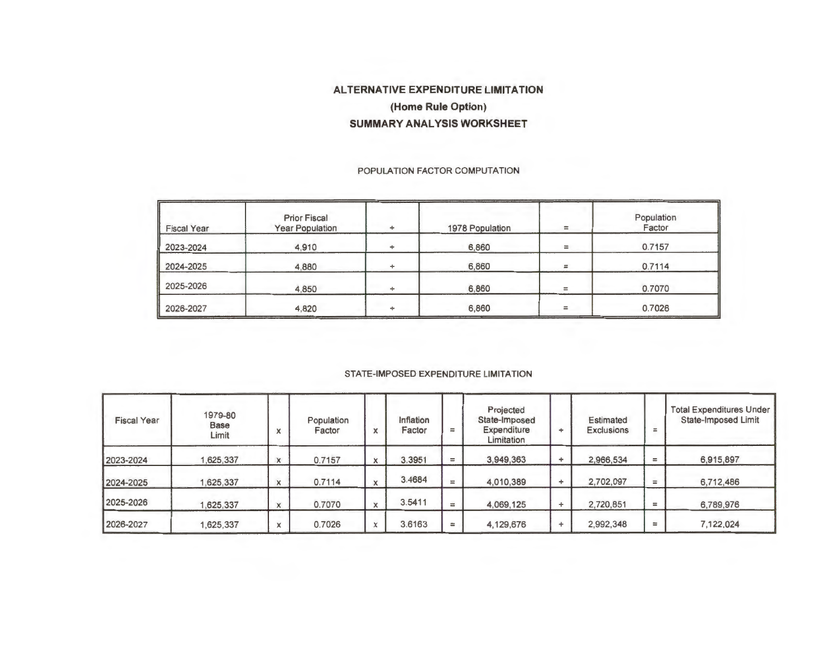## **ALTERNATIVE EXPENDITURE LIMITATION (Home Rule Option) SUMMARY ANALYSIS WORKSHEET**

### POPULATION FACTOR COMPUTATION

| <b>Fiscal Year</b> | <b>Prior Fiscal</b><br>Year Population |   | 1978 Population | $=$      | Population<br>Factor |
|--------------------|----------------------------------------|---|-----------------|----------|----------------------|
| 2023-2024          | 4,910                                  |   | 6,860           | $\equiv$ | 0.7157               |
| 2024-2025          | 4,880                                  |   | 6,860           | $\equiv$ | 0.7114               |
| 2025-2026          | 4,850                                  | ÷ | 6,860           | $\equiv$ | 0.7070               |
| 2026-2027          | 4,820                                  | ۰ | 6,860           | $=$      | 0.7026               |

### STATE-IMPOSED EXPENDITURE LIMITATION

| <b>Fiscal Year</b> | 1979-80<br><b>Base</b><br>Limit | $\overline{ }$ | Population<br>Factor | X | Inflation<br>Factor | $=$ | Projected<br>State-Imposed<br>Expenditure<br>Limitation | ÷ | Estimated<br><b>Exclusions</b> | $=$      | <b>Total Expenditures Under</b><br>State-Imposed Limit |
|--------------------|---------------------------------|----------------|----------------------|---|---------------------|-----|---------------------------------------------------------|---|--------------------------------|----------|--------------------------------------------------------|
| 2023-2024          | 1,625,337                       |                | 0.7157               | x | 3.3951              | $=$ | 3,949,363                                               |   | 2,966,534                      | $=$      | 6,915,897                                              |
| 2024-2025          | 625,337                         |                | 0.7114               | X | 3.4684              | Ħ   | 4,010,389                                               |   | 2,702,097                      | $\equiv$ | 6,712,486                                              |
| 2025-2026          | 625,337                         |                | 0.7070               | X | 3.5411              | H   | 4,069,125                                               |   | 2,720,851                      | $=$      | 6,789,976                                              |
| 2026-2027          | 1,625,337                       | $\sim$         | 0.7026               | x | 3.6163              | $=$ | 4,129,676                                               |   | 2,992,348                      | $=$      | 7,122,024                                              |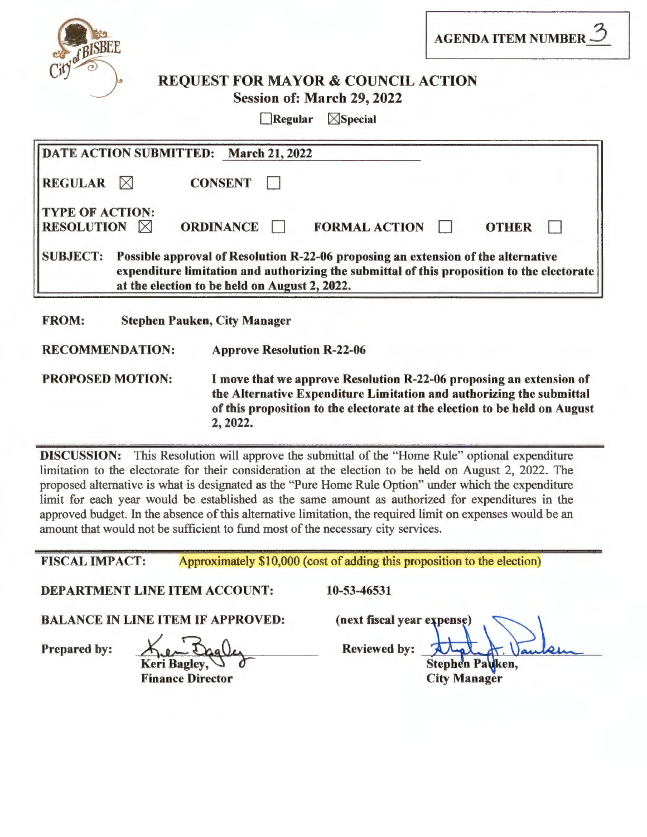| <b>SBEE</b><br>К |  |
|------------------|--|
|                  |  |

**AGENDA ITEM NUMBER 3** 

## **REQUEST FOR MAYOR** & **COUNCIL ACTION Session of: March 29, 2022**

**Regular** *<u><b>XSpecial*</u>

| DATE ACTION SUBMITTED: March 21, 2022                   |                                                                                                                                                                                                                                  |
|---------------------------------------------------------|----------------------------------------------------------------------------------------------------------------------------------------------------------------------------------------------------------------------------------|
| <b>REGULAR</b><br>$\boxtimes$                           | <b>CONSENT</b>                                                                                                                                                                                                                   |
| <b>TYPE OF ACTION:</b><br><b>RESOLUTION</b> $\boxtimes$ | <b>ORDINANCE</b><br><b>OTHER</b><br><b>FORMAL ACTION</b>                                                                                                                                                                         |
| <b>SUBJECT:</b>                                         | Possible approval of Resolution R-22-06 proposing an extension of the alternative<br>expenditure limitation and authorizing the submittal of this proposition to the electorate<br>at the election to be held on August 2, 2022. |
| <b>FROM:</b>                                            | <b>Stephen Pauken, City Manager</b>                                                                                                                                                                                              |
| <b>RECOMMENDATION:</b>                                  | <b>Approve Resolution R-22-06</b>                                                                                                                                                                                                |
| <b>PROPOSED MOTION·</b>                                 | I move that we annrove Resolution R-22-06 proposing an extension of                                                                                                                                                              |

**PROPOSED MOTION:** I **move that we approve Resolution R-22-06 proposing an extension of the Alternative Expenditure Limitation and authorizing the submittal of this proposition to the electorate at the election to be held on August 2, 2022.** 

**DISCUSSION:** This Resolution will approve the submittal of the "Home Rule" optional expenditure limitation to the electorate for their consideration at the election to be held on August 2, 2022. The proposed alternative is what is designated as the "Pure Home Rule Option" under which the expenditure limit for each year would be established as the same amount as authorized for expenditures in the approved budget. In the absence of this alternative limitation, the required limit on expenses would be an amount that would not be sufficient to fund most of the necessary city services.

Approximately \$10,000 (cost of adding this proposition to the election) **FISCAL IMPACT:** 

**DEPARTMENT LINE ITEM ACCOUNT: 10-53-46531** 

**BALANCE** IN **LINE ITEM IF APPROVED:** 

Prepared by:  $\frac{K_{10} - D_{20}}{Keri Bagley}$  Reviewed by:  $\frac{K_{11}}{Stephen Palken}$ ,<br>Finance Director City Manager

**Finance Director** 

(next fiscal year expense)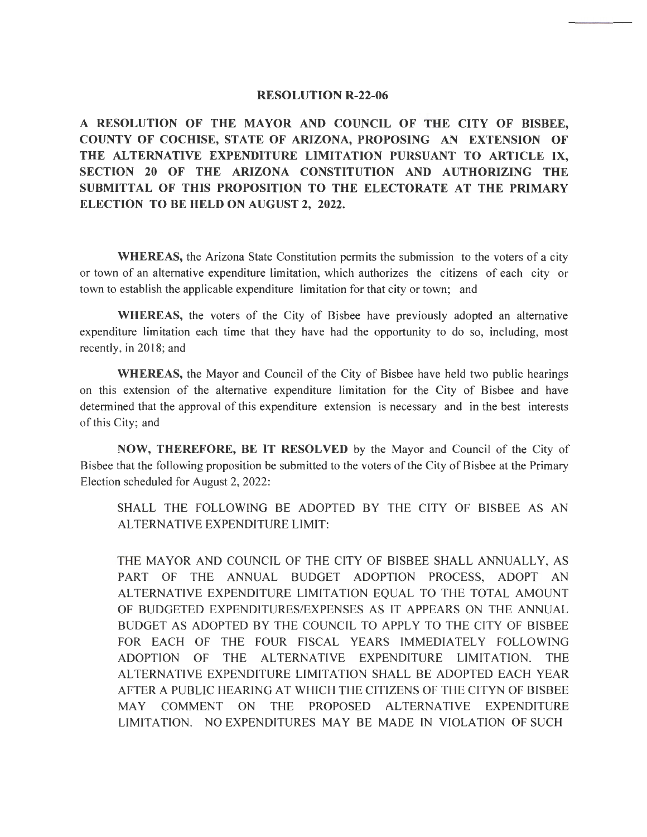## **RESOLUTION R-22-06**

**A RESOLUTION OF THE MAYOR AND COUNCIL OF THE CITY OF BISBEE, COUNTY OF COCHISE, STATE OF ARIZONA, PROPOSING AN EXTENSION OF THE ALTERNATIVE EXPENDITURE LIMITATION PURSUANT TO ARTICLE** IX, **SECTION 20 OF THE ARIZONA CONSTITUTION AND AUTHORIZING THE SUBMITTAL OF THIS PROPOSITION TO THE ELECTORATE AT THE PRIMARY ELECTION TO BE HELD ON AUGUST 2, 2022.** 

**WHEREAS,** the Arizona State Constitution permits the submission to the voters of a city or town of an alternative expenditure limitation, which authorizes the citizens of each city or town to establish the applicable expenditure limitation for that city or town; and

**WHEREAS,** the voters of the City of Bisbee have previously adopted an alternative expenditure limitation each time that they have had the opportunity to do so, including, most recently, in 2018; and

**WHEREAS,** the Mayor and Council of the City of Bisbee have held two public hearings on this extension of the alternative expenditure limitation for the City of Bisbee and have determined that the approval of this expenditure extension is necessary and in the best interests of this City; and

**NOW, THEREFORE, BE IT RESOLVED** by the Mayor and Council of the City of Bisbee that the following proposition be submitted to the voters of the City of Bisbee at the Primary Election scheduled for August 2, 2022:

SHALL THE FOLLOWING BE ADOPTED BY THE CITY OF BISBEE AS AN ALTERNATIVE EXPENDITURE LIMIT:

THE MAYOR AND COUNCIL OF THE CITY OF BISBEE SHALL ANNUALLY, AS PART OF THE ANNUAL BUDGET ADOPTION PROCESS, ADOPT AN ALTERNATIVE EXPENDITURE LIMITATION EQUAL TO THE TOTAL AMOUNT OF BUDGETED EXPENDITURES/EXPENSES AS IT APPEARS ON THE ANNUAL BUDGET AS ADOPTED BY THE COUNCIL TO APPLY TO THE CITY OF BISBEE FOR EACH OF THE FOUR FISCAL YEARS IMMEDIATELY FOLLOWING ADOPTION OF THE ALTERNATIVE EXPENDITURE LIMITATION. THE ALTERNATIVE EXPENDITURE LIMITATION SHALL BE ADOPTED EACH YEAR AFTER A PUBLIC HEARING AT WHICH THE CITIZENS OF THE CITYN OF BISBEE MAY COMMENT ON THE PROPOSED ALTERNATIVE EXPENDITURE LIMITATION. NO EXPENDITURES MAY BE MADE IN VIOLATION OF SUCH